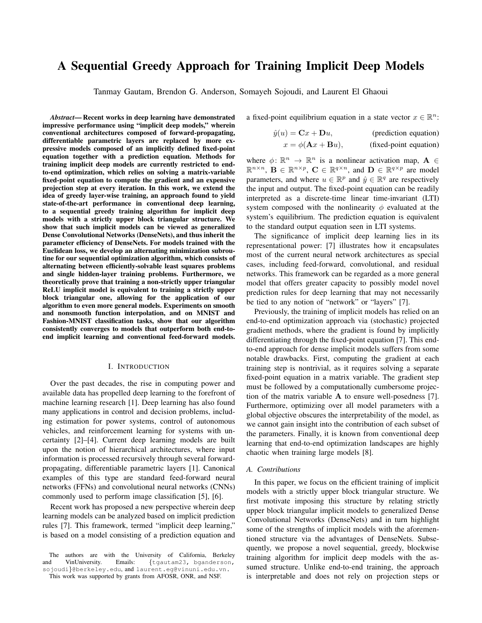# A Sequential Greedy Approach for Training Implicit Deep Models

Tanmay Gautam, Brendon G. Anderson, Somayeh Sojoudi, and Laurent El Ghaoui

*Abstract*— Recent works in deep learning have demonstrated impressive performance using "implicit deep models," wherein conventional architectures composed of forward-propagating, differentiable parametric layers are replaced by more expressive models composed of an implicitly defined fixed-point equation together with a prediction equation. Methods for training implicit deep models are currently restricted to endto-end optimization, which relies on solving a matrix-variable fixed-point equation to compute the gradient and an expensive projection step at every iteration. In this work, we extend the idea of greedy layer-wise training, an approach found to yield state-of-the-art performance in conventional deep learning, to a sequential greedy training algorithm for implicit deep models with a strictly upper block triangular structure. We show that such implicit models can be viewed as generalized Dense Convolutional Networks (DenseNets), and thus inherit the parameter efficiency of DenseNets. For models trained with the Euclidean loss, we develop an alternating minimization subroutine for our sequential optimization algorithm, which consists of alternating between efficiently-solvable least squares problems and single hidden-layer training problems. Furthermore, we theoretically prove that training a non-strictly upper triangular ReLU implicit model is equivalent to training a strictly upper block triangular one, allowing for the application of our algorithm to even more general models. Experiments on smooth and nonsmooth function interpolation, and on MNIST and Fashion-MNIST classification tasks, show that our algorithm consistently converges to models that outperform both end-toend implicit learning and conventional feed-forward models.

## I. INTRODUCTION

Over the past decades, the rise in computing power and available data has propelled deep learning to the forefront of machine learning research [\[1\]](#page-7-0). Deep learning has also found many applications in control and decision problems, including estimation for power systems, control of autonomous vehicles, and reinforcement learning for systems with uncertainty [\[2\]](#page-7-1)–[\[4\]](#page-7-2). Current deep learning models are built upon the notion of hierarchical architectures, where input information is processed recursively through several forwardpropagating, differentiable parametric layers [\[1\]](#page-7-0). Canonical examples of this type are standard feed-forward neural networks (FFNs) and convolutional neural networks (CNNs) commonly used to perform image classification [\[5\]](#page-7-3), [\[6\]](#page-7-4).

Recent work has proposed a new perspective wherein deep learning models can be analyzed based on implicit prediction rules [\[7\]](#page-7-5). This framework, termed "implicit deep learning," is based on a model consisting of a prediction equation and

The authors are with the University of California, Berkeley and VinUniversity. Emails: {[tgautam23,](mailto:tgautam23@berkeley.edu) [bganderson,](mailto:bganderson@berkeley.edu) [sojoudi](mailto:sojoudi@berkeley.edu)}@berkeley.edu, and [laurent.eg@](mailto:laurent.eg@vinuni.edu.vn)vinuni.edu.vn.

This work was supported by grants from AFOSR, ONR, and NSF.

a fixed-point equilibrium equation in a state vector  $x \in \mathbb{R}^n$ :

$$
\hat{y}(u) = \mathbf{C}x + \mathbf{D}u,
$$
 (prediction equation)  

$$
x = \phi(\mathbf{A}x + \mathbf{B}u),
$$
 (fixed-point equation)

where  $\phi \colon \mathbb{R}^n \to \mathbb{R}^n$  is a nonlinear activation map,  $\mathbf{A} \in$  $\mathbb{R}^{n \times n}$ ,  $\mathbf{B} \in \mathbb{R}^{n \times p}$ ,  $\mathbf{C} \in \mathbb{R}^{q \times n}$ , and  $\mathbf{D} \in \mathbb{R}^{q \times p}$  are model parameters, and where  $u \in \mathbb{R}^p$  and  $\hat{y} \in \mathbb{R}^q$  are respectively the input and output. The fixed-point equation can be readily interpreted as a discrete-time linear time-invariant (LTI) system composed with the nonlinearity  $\phi$  evaluated at the system's equilibrium. The prediction equation is equivalent to the standard output equation seen in LTI systems.

The significance of implicit deep learning lies in its representational power: [\[7\]](#page-7-5) illustrates how it encapsulates most of the current neural network architectures as special cases, including feed-forward, convolutional, and residual networks. This framework can be regarded as a more general model that offers greater capacity to possibly model novel prediction rules for deep learning that may not necessarily be tied to any notion of "network" or "layers" [\[7\]](#page-7-5).

Previously, the training of implicit models has relied on an end-to-end optimization approach via (stochastic) projected gradient methods, where the gradient is found by implicitly differentiating through the fixed-point equation [\[7\]](#page-7-5). This endto-end approach for dense implicit models suffers from some notable drawbacks. First, computing the gradient at each training step is nontrivial, as it requires solving a separate fixed-point equation in a matrix variable. The gradient step must be followed by a computationally cumbersome projection of the matrix variable A to ensure well-posedness [\[7\]](#page-7-5). Furthermore, optimizing over all model parameters with a global objective obscures the interpretability of the model, as we cannot gain insight into the contribution of each subset of the parameters. Finally, it is known from conventional deep learning that end-to-end optimization landscapes are highly chaotic when training large models [\[8\]](#page-7-6).

#### *A. Contributions*

In this paper, we focus on the efficient training of implicit models with a strictly upper block triangular structure. We first motivate imposing this structure by relating strictly upper block triangular implicit models to generalized Dense Convolutional Networks (DenseNets) and in turn highlight some of the strengths of implicit models with the aforementioned structure via the advantages of DenseNets. Subsequently, we propose a novel sequential, greedy, blockwise training algorithm for implicit deep models with the assumed structure. Unlike end-to-end training, the approach is interpretable and does not rely on projection steps or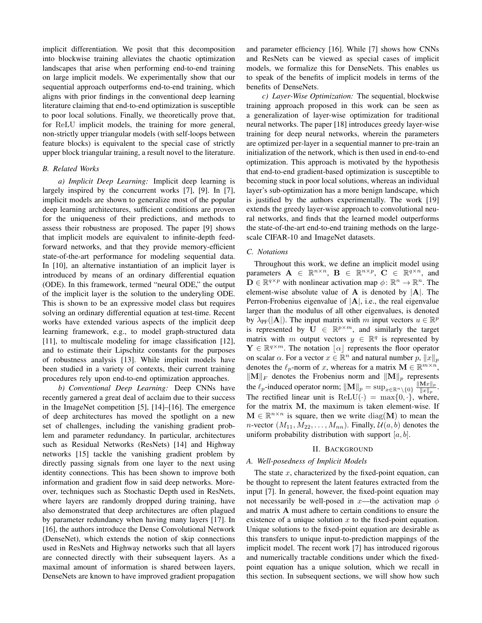implicit differentiation. We posit that this decomposition into blockwise training alleviates the chaotic optimization landscapes that arise when performing end-to-end training on large implicit models. We experimentally show that our sequential approach outperforms end-to-end training, which aligns with prior findings in the conventional deep learning literature claiming that end-to-end optimization is susceptible to poor local solutions. Finally, we theoretically prove that, for ReLU implicit models, the training for more general, non-strictly upper triangular models (with self-loops between feature blocks) is equivalent to the special case of strictly upper block triangular training, a result novel to the literature.

# *B. Related Works*

*a) Implicit Deep Learning:* Implicit deep learning is largely inspired by the concurrent works [\[7\]](#page-7-5), [\[9\]](#page-7-7). In [\[7\]](#page-7-5), implicit models are shown to generalize most of the popular deep learning architectures, sufficient conditions are proven for the uniqueness of their predictions, and methods to assess their robustness are proposed. The paper [\[9\]](#page-7-7) shows that implicit models are equivalent to infinite-depth feedforward networks, and that they provide memory-efficient state-of-the-art performance for modeling sequential data. In [\[10\]](#page-7-8), an alternative instantiation of an implicit layer is introduced by means of an ordinary differential equation (ODE). In this framework, termed "neural ODE," the output of the implicit layer is the solution to the underyling ODE. This is shown to be an expressive model class but requires solving an ordinary differential equation at test-time. Recent works have extended various aspects of the implicit deep learning framework, e.g., to model graph-structured data [\[11\]](#page-7-9), to multiscale modeling for image classification [\[12\]](#page-7-10), and to estimate their Lipschitz constants for the purposes of robustness analysis [\[13\]](#page-7-11). While implicit models have been studied in a variety of contexts, their current training procedures rely upon end-to-end optimization approaches.

*b) Conventional Deep Learning:* Deep CNNs have recently garnered a great deal of acclaim due to their success in the ImageNet competition [\[5\]](#page-7-3), [\[14\]](#page-7-12)–[\[16\]](#page-7-13). The emergence of deep architectures has moved the spotlight on a new set of challenges, including the vanishing gradient problem and parameter redundancy. In particular, architectures such as Residual Networks (ResNets) [\[14\]](#page-7-12) and Highway networks [\[15\]](#page-7-14) tackle the vanishing gradient problem by directly passing signals from one layer to the next using identity connections. This has been shown to improve both information and gradient flow in said deep networks. Moreover, techniques such as Stochastic Depth used in ResNets, where layers are randomly dropped during training, have also demonstrated that deep architectures are often plagued by parameter redundancy when having many layers [\[17\]](#page-7-15). In [\[16\]](#page-7-13), the authors introduce the Dense Convolutional Network (DenseNet), which extends the notion of skip connections used in ResNets and Highway networks such that all layers are connected directly with their subsequent layers. As a maximal amount of information is shared between layers, DenseNets are known to have improved gradient propagation

and parameter efficiency [\[16\]](#page-7-13). While [\[7\]](#page-7-5) shows how CNNs and ResNets can be viewed as special cases of implicit models, we formalize this for DenseNets. This enables us to speak of the benefits of implicit models in terms of the benefits of DenseNets.

*c) Layer-Wise Optimization:* The sequential, blockwise training approach proposed in this work can be seen as a generalization of layer-wise optimization for traditional neural networks. The paper [\[18\]](#page-7-16) introduces greedy layer-wise training for deep neural networks, wherein the parameters are optimized per-layer in a sequential manner to pre-train an initialization of the network, which is then used in end-to-end optimization. This approach is motivated by the hypothesis that end-to-end gradient-based optimization is susceptible to becoming stuck in poor local solutions, whereas an individual layer's sub-optimization has a more benign landscape, which is justified by the authors experimentally. The work [\[19\]](#page-7-17) extends the greedy layer-wise approach to convolutional neural networks, and finds that the learned model outperforms the state-of-the-art end-to-end training methods on the largescale CIFAR-10 and ImageNet datasets.

## *C. Notations*

Throughout this work, we define an implicit model using parameters  $\mathbf{A} \in \mathbb{R}^{n \times n}$ ,  $\mathbf{B} \in \mathbb{R}^{n \times p}$ ,  $\mathbf{C} \in \mathbb{R}^{q \times n}$ , and  $\mathbf{D} \in \mathbb{R}^{q \times p}$  with nonlinear activation map  $\phi \colon \mathbb{R}^n \to \mathbb{R}^n$ . The element-wise absolute value of  $A$  is denoted by  $|A|$ . The Perron-Frobenius eigenvalue of  $|A|$ , i.e., the real eigenvalue larger than the modulus of all other eigenvalues, is denoted by  $\lambda_{\text{PF}}(|\mathbf{A}|)$ . The input matrix with m input vectors  $u \in \mathbb{R}^p$ is represented by  $\mathbf{U} \in \mathbb{R}^{p \times m}$ , and similarly the target matrix with m output vectors  $y \in \mathbb{R}^q$  is represented by  $\mathbf{Y} \in \mathbb{R}^{q \times m}$ . The notation  $\lfloor \alpha \rfloor$  represents the floor operator on scalar  $\alpha$ . For a vector  $x \in \mathbb{R}^n$  and natural number  $p$ ,  $||x||_p$ denotes the  $\ell_p$ -norm of x, whereas for a matrix  $\mathbf{M} \in \mathbb{R}^{m \times n}$ ,  $\|\mathbf{M}\|_F$  denotes the Frobenius norm and  $\|\mathbf{M}\|_p$  represents the  $\ell_p$ -induced operator norm;  $\|\mathbf{M}\|_p = \sup_{x \in \mathbb{R}^n \setminus \{0\}} \frac{\|\mathbf{M}x\|_p}{\|x\|_p}$  $\frac{\|{\mathbf{w}}\|x\|_p}{\|x\|_p}$  . The rectified linear unit is  $ReLU(·) = max{0, ·}$ , where, for the matrix M, the maximum is taken element-wise. If  $\mathbf{M} \in \mathbb{R}^{n \times n}$  is square, then we write  $diag(\mathbf{M})$  to mean the n-vector  $(M_{11}, M_{22}, \ldots, M_{nn})$ . Finally,  $\mathcal{U}(a, b)$  denotes the uniform probability distribution with support  $[a, b]$ .

#### II. BACKGROUND

#### *A. Well-posedness of Implicit Models*

The state  $x$ , characterized by the fixed-point equation, can be thought to represent the latent features extracted from the input [\[7\]](#page-7-5). In general, however, the fixed-point equation may not necessarily be well-posed in x—the activation map  $\phi$ and matrix A must adhere to certain conditions to ensure the existence of a unique solution  $x$  to the fixed-point equation. Unique solutions to the fixed-point equation are desirable as this transfers to unique input-to-prediction mappings of the implicit model. The recent work [\[7\]](#page-7-5) has introduced rigorous and numerically tractable conditions under which the fixedpoint equation has a unique solution, which we recall in this section. In subsequent sections, we will show how such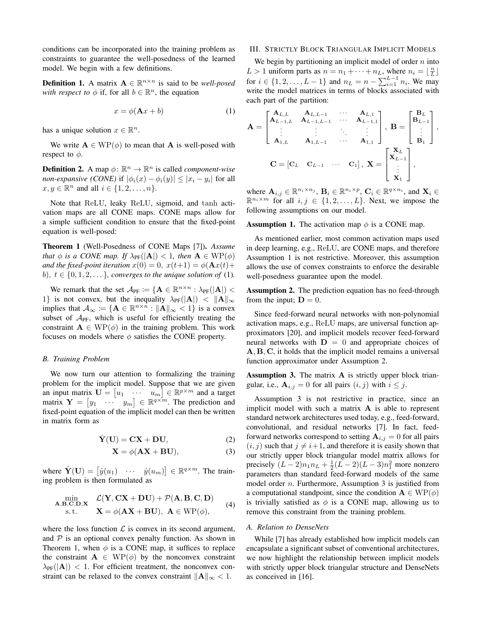conditions can be incorporated into the training problem as constraints to guarantee the well-posedness of the learned model. We begin with a few definitions.

**Definition 1.** A matrix  $A \in \mathbb{R}^{n \times n}$  is said to be *well-posed with respect to*  $\phi$  if, for all  $b \in \mathbb{R}^n$ , the equation

<span id="page-2-0"></span>
$$
x = \phi(\mathbf{A}x + b) \tag{1}
$$

has a unique solution  $x \in \mathbb{R}^n$ .

We write  $A \in WP(\phi)$  to mean that A is well-posed with respect to  $\phi$ .

**Definition 2.** A map  $\phi$ :  $\mathbb{R}^n \to \mathbb{R}^n$  is called *component-wise non-expansive (CONE)* if  $|\phi_i(x) - \phi_i(y)| \leq |x_i - y_i|$  for all  $x, y \in \mathbb{R}^n$  and all  $i \in \{1, 2, \ldots, n\}.$ 

Note that ReLU, leaky ReLU, sigmoid, and tanh activation maps are all CONE maps. CONE maps allow for a simple sufficient condition to ensure that the fixed-point equation is well-posed:

<span id="page-2-1"></span>Theorem 1 (Well-Posedness of CONE Maps [\[7\]](#page-7-5)). *Assume that*  $\phi$  *is a CONE map. If*  $\lambda_{PF}(|A|) < 1$ *, then*  $A \in WP(\phi)$ *and the fixed-point iteration*  $x(0) = 0$ ,  $x(t+1) = \phi(\mathbf{A}x(t))$ b),  $t \in \{0, 1, 2, \ldots\}$ , converges to the unique solution of [\(1\)](#page-2-0).

We remark that the set  $\mathcal{A}_{PF} := \{ \mathbf{A} \in \mathbb{R}^{n \times n} : \lambda_{PF}(|\mathbf{A}|)$ 1} is not convex, but the inequality  $\lambda_{PF}(|A|) < ||A||_{\infty}$ implies that  $\mathcal{A}_{\infty} := \{ \mathbf{A} \in \mathbb{R}^{n \times n} : ||\mathbf{A}||_{\infty} < 1 \}$  is a convex subset of  $A_{PF}$ , which is useful for efficiently treating the constraint  $A \in WP(\phi)$  in the training problem. This work focuses on models where  $\phi$  satisfies the CONE property.

## *B. Training Problem*

We now turn our attention to formalizing the training problem for the implicit model. Suppose that we are given an input matrix  $\mathbf{U} = \begin{bmatrix} u_1 & \cdots & u_m \end{bmatrix} \in \mathbb{R}^{p \times m}$  and a target matrix  $\mathbf{Y} = \begin{bmatrix} y_1 & \cdots & y_m \end{bmatrix} \in \mathbb{R}^{q \times m}$ . The prediction and fixed-point equation of the implicit model can then be written in matrix form as

$$
\hat{\mathbf{Y}}(\mathbf{U}) = \mathbf{C}\mathbf{X} + \mathbf{D}\mathbf{U},\tag{2}
$$

$$
\mathbf{X} = \phi(\mathbf{A}\mathbf{X} + \mathbf{B}\mathbf{U}),\tag{3}
$$

where  $\hat{\mathbf{Y}}(\mathbf{U}) = [\hat{y}(u_1) \cdots \hat{y}(u_m)] \in \mathbb{R}^{q \times m}$ . The training problem is then formulated as

$$
\begin{array}{cl}\n\displaystyle\min_{\mathbf{A},\mathbf{B},\mathbf{C},\mathbf{D},\mathbf{X}} & \mathcal{L}(\mathbf{Y},\mathbf{C}\mathbf{X}+\mathbf{D}\mathbf{U})+\mathcal{P}(\mathbf{A},\mathbf{B},\mathbf{C},\mathbf{D}) \\
\text{s.t.} & \mathbf{X}=\phi(\mathbf{A}\mathbf{X}+\mathbf{B}\mathbf{U}),\ \mathbf{A}\in\text{WP}(\phi),\n\end{array}\n\tag{4}
$$

where the loss function  $\mathcal L$  is convex in its second argument, and  $P$  is an optional convex penalty function. As shown in Theorem [1,](#page-2-1) when  $\phi$  is a CONE map, it suffices to replace the constraint  $A \in WP(\phi)$  by the nonconvex constraint  $\lambda_{PF}(|{\bf A}|)$  < 1. For efficient treatment, the nonconvex constraint can be relaxed to the convex constraint  $||A||_{\infty} < 1$ .

#### III. STRICTLY BLOCK TRIANGULAR IMPLICIT MODELS

We begin by partitioning an implicit model of order  $n$  into  $L > 1$  uniform parts as  $n = n_1 + \cdots + n_L$ , where  $n_i = \lfloor \frac{n}{L} \rfloor$ for  $i \in \{1, 2, ..., L-1\}$  and  $n_L = n - \sum_{i=1}^{L-1} n_i$ . We may write the model matrices in terms of blocks associated with each part of the partition:

$$
\mathbf{A} = \begin{bmatrix} \mathbf{A}_{L,L} & \mathbf{A}_{L,L-1} & \cdots & \mathbf{A}_{L,1} \\ \mathbf{A}_{L-1,L} & \mathbf{A}_{L-1,L-1} & \cdots & \mathbf{A}_{L-1,1} \\ \vdots & \vdots & \ddots & \vdots \\ \mathbf{A}_{1,L} & \mathbf{A}_{1,L-1} & \cdots & \mathbf{A}_{1,1} \end{bmatrix}, \ \mathbf{B} = \begin{bmatrix} \mathbf{B}_{L} \\ \mathbf{B}_{L-1} \\ \vdots \\ \mathbf{B}_{1} \end{bmatrix},
$$

$$
\mathbf{C} = \begin{bmatrix} \mathbf{C}_{L} & \mathbf{C}_{L-1} & \cdots & \mathbf{C}_{1} \end{bmatrix}, \ \mathbf{X} = \begin{bmatrix} \mathbf{X}_{L} \\ \mathbf{X}_{L-1} \\ \vdots \\ \mathbf{X}_{1} \end{bmatrix},
$$

where  $\mathbf{A}_{i,j} \in \mathbb{R}^{n_i \times n_j}$ ,  $\mathbf{B}_i \in \mathbb{R}^{n_i \times p}$ ,  $\mathbf{C}_i \in \mathbb{R}^{q \times n_i}$ , and  $\mathbf{X}_i \in$  $\mathbb{R}^{n_i \times m}$  for all  $i, j \in \{1, 2, ..., L\}$ . Next, we impose the following assumptions on our model.

<span id="page-2-2"></span>**Assumption 1.** The activation map  $\phi$  is a CONE map.

As mentioned earlier, most common activation maps used in deep learning, e.g., ReLU, are CONE maps, and therefore Assumption [1](#page-2-2) is not restrictive. Moreover, this assumption allows the use of convex constraints to enforce the desirable well-posedness guarantee upon the model.

<span id="page-2-3"></span>Assumption 2. The prediction equation has no feed-through from the input;  $D = 0$ .

Since feed-forward neural networks with non-polynomial activation maps, e.g., ReLU maps, are universal function approximators [\[20\]](#page-7-18), and implicit models recover feed-forward neural networks with  $D = 0$  and appropriate choices of A, B, C, it holds that the implicit model remains a universal function approximator under Assumption [2.](#page-2-3)

<span id="page-2-4"></span>Assumption 3. The matrix A is strictly upper block triangular, i.e.,  $\mathbf{A}_{i,j} = 0$  for all pairs  $(i, j)$  with  $i \leq j$ .

Assumption [3](#page-2-4) is not restrictive in practice, since an implicit model with such a matrix  $A$  is able to represent standard network architectures used today, e.g., feed-forward, convolutional, and residual networks [\[7\]](#page-7-5). In fact, feedforward networks correspond to setting  $A_{i,j} = 0$  for all pairs  $(i, j)$  such that  $j \neq i+1$ , and therefore it is easily shown that our strictly upper block triangular model matrix allows for precisely  $(L-2)n_1n_L + \frac{1}{2}(L-2)(L-3)n_1^2$  more nonzero parameters than standard feed-forward models of the same model order  $n$ . Furthermore, Assumption [3](#page-2-4) is justified from a computational standpoint, since the condition  $\mathbf{A} \in \text{WP}(\phi)$ is trivially satisfied as  $\phi$  is a CONE map, allowing us to remove this constraint from the training problem.

# *A. Relation to DenseNets*

While [\[7\]](#page-7-5) has already established how implicit models can encapsulate a significant subset of conventional architectures, we now highlight the relationship between implicit models with strictly upper block triangular structure and DenseNets as conceived in [\[16\]](#page-7-13).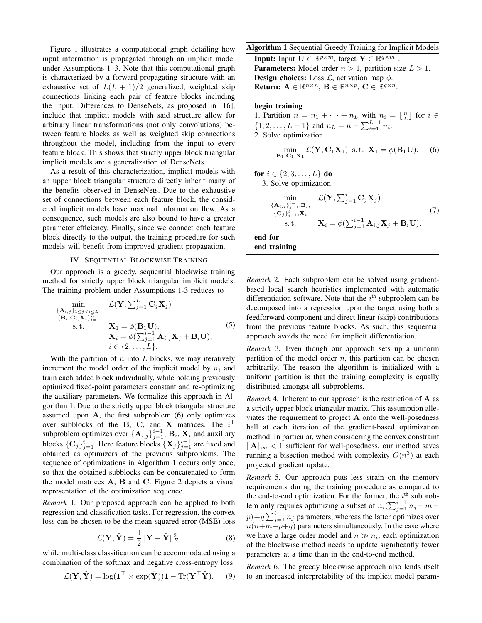Figure [1](#page-4-0) illustrates a computational graph detailing how input information is propagated through an implicit model under Assumptions [1–](#page-2-2)[3.](#page-2-4) Note that this computational graph is characterized by a forward-propagating structure with an exhaustive set of  $L(L + 1)/2$  generalized, weighted skip connections linking each pair of feature blocks including the input. Differences to DenseNets, as proposed in [\[16\]](#page-7-13), include that implicit models with said structure allow for arbitrary linear transformations (not only convolutions) between feature blocks as well as weighted skip connections throughout the model, including from the input to every feature block. This shows that strictly upper block triangular implicit models are a generalization of DenseNets.

As a result of this characterization, implicit models with an upper block triangular structure directly inherit many of the benefits observed in DenseNets. Due to the exhaustive set of connections between each feature block, the considered implicit models have maximal information flow. As a consequence, such models are also bound to have a greater parameter efficiency. Finally, since we connect each feature block directly to the output, the training procedure for such models will benefit from improved gradient propagation.

# IV. SEQUENTIAL BLOCKWISE TRAINING

Our approach is a greedy, sequential blockwise training method for strictly upper block triangular implicit models. The training problem under Assumptions [1-](#page-2-2)[3](#page-2-4) reduces to

$$
\min_{\{\mathbf{A}_{i,j}\}_{1\leq j\n
$$
\{ \mathbf{B}_{i}, \mathbf{C}_{i}, \mathbf{X}_{i} \}_{i=1}^{L}
$$
\n
$$
\mathbf{X}_{1} = \phi(\mathbf{B}_{1}\mathbf{U}),
$$
\n
$$
\mathbf{X}_{i} = \phi(\sum_{j=1}^{i-1} \mathbf{A}_{i,j} \mathbf{X}_{j} + \mathbf{B}_{i} \mathbf{U}),
$$
\n
$$
i \in \{2, ..., L\}.
$$
\n(5)
$$

With the partition of  $n$  into  $L$  blocks, we may iteratively increment the model order of the implicit model by  $n_i$  and train each added block individually, while holding previously optimized fixed-point parameters constant and re-optimizing the auxiliary parameters. We formalize this approach in Algorithm [1.](#page-3-0) Due to the strictly upper block triangular structure assumed upon  $A$ , the first subproblem  $(6)$  only optimizes over subblocks of the B, C, and X matrices. The  $i<sup>th</sup>$ subproblem optimizes over  $\{A_{i,j}\}_{j=1}^{i-1}$ ,  $B_i$ ,  $X_i$  and auxiliary blocks  $\{C_j\}_{j=1}^i$ . Here feature blocks  $\{X_j\}_{j=1}^{i-1}$  are fixed and obtained as optimizers of the previous subproblems. The sequence of optimizations in Algorithm [1](#page-3-0) occurs only once, so that the obtained subblocks can be concatenated to form the model matrices A, B and C. Figure [2](#page-4-1) depicts a visual representation of the optimization sequence.

*Remark* 1*.* Our proposed approach can be applied to both regression and classification tasks. For regression, the convex loss can be chosen to be the mean-squared error (MSE) loss

<span id="page-3-2"></span>
$$
\mathcal{L}(\mathbf{Y}, \hat{\mathbf{Y}}) = \frac{1}{2} \|\mathbf{Y} - \hat{\mathbf{Y}}\|_F^2, \tag{8}
$$

while multi-class classification can be accommodated using a combination of the softmax and negative cross-entropy loss:

$$
\mathcal{L}(\mathbf{Y}, \hat{\mathbf{Y}}) = \log(\mathbf{1}^{\top} \times \exp(\hat{\mathbf{Y}})) \mathbf{1} - \text{Tr}(\mathbf{Y}^{\top} \hat{\mathbf{Y}}).
$$
 (9)

<span id="page-3-0"></span>Algorithm 1 Sequential Greedy Training for Implicit Models

**Input:** Input  $\mathbf{U} \in \mathbb{R}^{p \times m}$ , target  $\mathbf{Y} \in \mathbb{R}^{q \times m}$ . **Parameters:** Model order  $n > 1$ , partition size  $L > 1$ . **Design choices:** Loss  $\mathcal{L}$ , activation map  $\phi$ . Return:  $\mathbf{A} \in \mathbb{R}^{n \times n}$ ,  $\mathbf{B} \in \mathbb{R}^{n \times p}$ ,  $\mathbf{C} \in \mathbb{R}^{q \times n}$ .

# begin training

1. Partition  $n = n_1 + \cdots + n_L$  with  $n_i = \lfloor \frac{n}{L} \rfloor$  for  $i \in$  $\{1, 2, \ldots, L-1\}$  and  $n_L = n - \sum_{i=1}^{L-1} n_i$ . 2. Solve optimization

<span id="page-3-1"></span>
$$
\min_{\mathbf{B}_1, \mathbf{C}_1, \mathbf{X}_1} \mathcal{L}(\mathbf{Y}, \mathbf{C}_1 \mathbf{X}_1) \text{ s.t. } \mathbf{X}_1 = \phi(\mathbf{B}_1 \mathbf{U}). \quad (6)
$$

for  $i \in \{2, 3, ..., L\}$  do

3. Solve optimization

<span id="page-3-3"></span>
$$
\min_{\{\mathbf{A}_{i,j}\}_{j=1}^{i-1},\mathbf{B}_{i}, \qquad \mathcal{L}(\mathbf{Y}, \sum_{j=1}^{i} \mathbf{C}_{j} \mathbf{X}_{j})
$$
\n
$$
\{\mathbf{C}_{j}\}_{j=1}^{i-1}, \mathbf{X}_{i} \qquad \mathbf{X}_{i} = \phi(\sum_{j=1}^{i-1} \mathbf{A}_{i,j} \mathbf{X}_{j} + \mathbf{B}_{i} \mathbf{U}).
$$
\n(7)

end for end training

*Remark* 2*.* Each subproblem can be solved using gradientbased local search heuristics implemented with automatic differentiation software. Note that the  $i<sup>th</sup>$  subproblem can be decomposed into a regression upon the target using both a feedforward component and direct linear (skip) contributions from the previous feature blocks. As such, this sequential approach avoids the need for implicit differentiation.

*Remark* 3*.* Even though our approach sets up a uniform partition of the model order  $n$ , this partition can be chosen arbitrarily. The reason the algorithm is initialized with a uniform partition is that the training complexity is equally distributed amongst all subproblems.

*Remark* 4*.* Inherent to our approach is the restriction of A as a strictly upper block triangular matrix. This assumption alleviates the requirement to project A onto the well-posedness ball at each iteration of the gradient-based optimization method. In particular, when considering the convex constraint ∥A∥<sup>∞</sup> < 1 sufficient for well-posedness, our method saves running a bisection method with complexity  $O(n^3)$  at each projected gradient update.

*Remark* 5*.* Our approach puts less strain on the memory requirements during the training procedure as compared to the end-to-end optimization. For the former, the  $i<sup>th</sup>$  subproblem only requires optimizing a subset of  $n_i(\sum_{j=1}^{i-1} n_j + m)$  $p) + q \sum_{j=1}^{i} n_j$  parameters, whereas the latter optimizes over  $n(n+m+p+q)$  parameters simultaneously. In the case where we have a large order model and  $n \gg n_i$ , each optimization of the blockwise method needs to update significantly fewer parameters at a time than in the end-to-end method.

*Remark* 6*.* The greedy blockwise approach also lends itself to an increased interpretability of the implicit model param-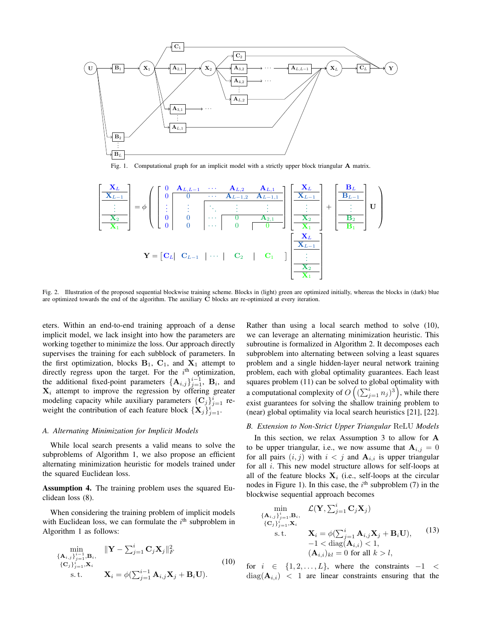<span id="page-4-0"></span>

Fig. 1. Computational graph for an implicit model with a strictly upper block triangular **A** matrix.

<span id="page-4-1"></span>

Fig. 2. Illustration of the proposed sequential blockwise training scheme. Blocks in (light) green are optimized initially, whereas the blocks in (dark) blue are optimized towards the end of the algorithm. The auxiliary  $\tilde{C}$  blocks are re-optimized at every iteration.

eters. Within an end-to-end training approach of a dense implicit model, we lack insight into how the parameters are working together to minimize the loss. Our approach directly supervises the training for each subblock of parameters. In the first optimization, blocks  $B_1$ ,  $C_1$ , and  $X_1$  attempt to directly regress upon the target. For the  $i<sup>th</sup>$  optimization, the additional fixed-point parameters  $\{\mathbf A_{i,j}\}_{j=1}^{i-1}$ ,  $\mathbf B_i$ , and  $X_i$  attempt to improve the regression by offering greater modeling capacity while auxiliary parameters  $\{C_j\}_{j=1}^i$  reweight the contribution of each feature block  $\{X_j\}_{j=1}^i$ .

#### *A. Alternating Minimization for Implicit Models*

While local search presents a valid means to solve the subproblems of Algorithm [1,](#page-3-0) we also propose an efficient alternating minimization heuristic for models trained under the squared Euclidean loss.

Assumption 4. The training problem uses the squared Euclidean loss [\(8\)](#page-3-2).

When considering the training problem of implicit models with Euclidean loss, we can formulate the  $i<sup>th</sup>$  subproblem in Algorithm [1](#page-3-0) as follows:

<span id="page-4-2"></span>
$$
\min_{\{\mathbf{A}_{i,j}\}_{j=1}^{i-1}, \mathbf{B}_{i}, \atop \{\mathbf{C}_{j}\}_{j=1}^{i}, \mathbf{X}_{i}} \|\mathbf{Y} - \sum_{j=1}^{i} \mathbf{C}_{j} \mathbf{X}_{j} \|_{F}^{2}
$$
\n
$$
\{\mathbf{C}_{j}\}_{j=1}^{i}, \mathbf{X}_{i}
$$
\n
$$
\mathbf{X}_{i} = \phi(\sum_{j=1}^{i-1} \mathbf{A}_{i,j} \mathbf{X}_{j} + \mathbf{B}_{i} \mathbf{U}).
$$
\n(10)

Rather than using a local search method to solve [\(10\)](#page-4-2), we can leverage an alternating minimization heuristic. This subroutine is formalized in Algorithm [2.](#page-5-0) It decomposes each subproblem into alternating between solving a least squares problem and a single hidden-layer neural network training problem, each with global optimality guarantees. Each least squares problem [\(11\)](#page-5-1) can be solved to global optimality with a computational complexity of  $O\left((\sum_{j=1}^i n_j)^3\right)$ , while there exist guarantees for solving the shallow training problem to (near) global optimality via local search heuristics [\[21\]](#page-7-19), [\[22\]](#page-7-20).

## *B. Extension to Non-Strict Upper Triangular* ReLU *Models*

In this section, we relax Assumption [3](#page-2-4) to allow for A to be upper triangular, i.e., we now assume that  $A_{i,j} = 0$ for all pairs  $(i, j)$  with  $i < j$  and  $A_{i,i}$  is upper triangular for all i. This new model structure allows for self-loops at all of the feature blocks  $X_i$  (i.e., self-loops at the circular nodes in Figure [1\)](#page-4-0). In this case, the  $i<sup>th</sup>$  subproblem [\(7\)](#page-3-3) in the blockwise sequential approach becomes

<span id="page-4-3"></span>
$$
\min_{\{\mathbf{A}_{i,j}\}_{j=1}^{i},\mathbf{B}_{i}, \qquad \mathcal{L}(\mathbf{Y}, \sum_{j=1}^{i} \mathbf{C}_{j} \mathbf{X}_{j})
$$
\n
$$
\{\mathbf{C}_{j}\}_{j=1}^{i}, \mathbf{X}_{i} \qquad \mathbf{X}_{i} = \phi(\sum_{j=1}^{i} \mathbf{A}_{i,j} \mathbf{X}_{j} + \mathbf{B}_{i} \mathbf{U}), \qquad (13)
$$
\n
$$
-1 < \text{diag}(\mathbf{A}_{i,i}) < 1,
$$
\n
$$
(\mathbf{A}_{i,i})_{kl} = 0 \text{ for all } k > l,
$$
\n
$$
(14)
$$

for  $i \in \{1, 2, \ldots, L\}$ , where the constraints  $-1 <$  $diag(\mathbf{A}_{i,i})$  < 1 are linear constraints ensuring that the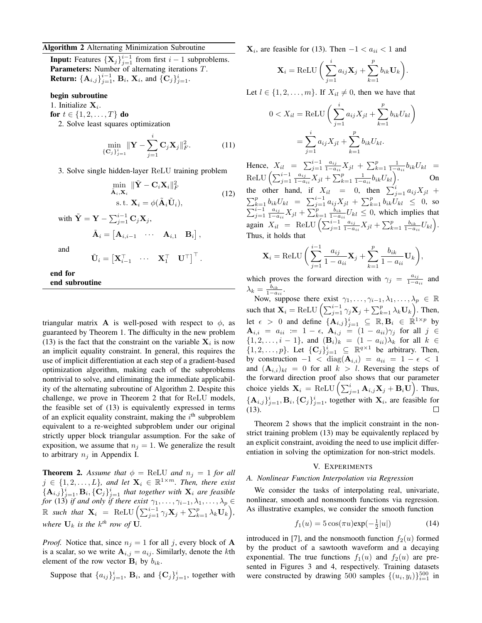## <span id="page-5-0"></span>Algorithm 2 Alternating Minimization Subroutine

**Input:** Features  $\{X_j\}_{j=1}^{i-1}$  from first  $i-1$  subproblems. Parameters: Number of alternating iterations T. **Return:**  $\{A_{i,j}\}_{j=1}^{i-1}$ ,  $B_i$ ,  $X_i$ , and  $\{C_j\}_{j=1}^{i}$ .

# begin subroutine

1. Initialize  $X_i$ .

for  $t \in \{1, 2, ..., T\}$  do

2. Solve least squares optimization

$$
\min_{\{\mathbf{C}_j\}_{j=1}^i} \|\mathbf{Y} - \sum_{j=1}^i \mathbf{C}_j \mathbf{X}_j\|_F^2.
$$
 (11)

3. Solve single hidden-layer ReLU training problem

$$
\min_{\tilde{\mathbf{A}}_i, \mathbf{X}_i} \|\tilde{\mathbf{Y}} - \mathbf{C}_i \mathbf{X}_i\|_F^2
$$
\n
$$
\text{s.t. } \mathbf{X}_i = \phi(\tilde{\mathbf{A}}_i \tilde{\mathbf{U}}_i),
$$
\n(12)

with  $\tilde{\mathbf{Y}} = \mathbf{Y} - \sum_{j=1}^{i-1} \mathbf{C}_j \mathbf{X}_j$ ,  $\tilde{\mathbf{A}}_i = \begin{bmatrix} \mathbf{A}_{i,i-1} & \cdots & \mathbf{A}_{i,1} & \mathbf{B}_i \end{bmatrix},$ 

and

$$
\tilde{\mathbf{U}}_i = \begin{bmatrix} \mathbf{X}_{i-1}^{\top} & \cdots & \mathbf{X}_1^{\top} & \mathbf{U}^{\top} \end{bmatrix}^{\top}.
$$

end for end subroutine

triangular matrix **A** is well-posed with respect to  $\phi$ , as guaranteed by Theorem [1.](#page-2-1) The difficulty in the new problem [\(13\)](#page-4-3) is the fact that the constraint on the variable  $X_i$  is now an implicit equality constraint. In general, this requires the use of implicit differentiation at each step of a gradient-based optimization algorithm, making each of the subproblems nontrivial to solve, and eliminating the immediate applicability of the alternating subroutine of Algorithm [2.](#page-5-0) Despite this challenge, we prove in Theorem [2](#page-5-2) that for ReLU models, the feasible set of [\(13\)](#page-4-3) is equivalently expressed in terms of an explicit equality constraint, making the  $i<sup>th</sup>$  subproblem equivalent to a re-weighted subproblem under our original strictly upper block triangular assumption. For the sake of exposition, we assume that  $n_j = 1$ . We generalize the result to arbitrary  $n_i$  in Appendix [I.](#page-7-21)

<span id="page-5-2"></span>**Theorem 2.** Assume that  $\phi = \text{ReLU}$  and  $n_i = 1$  for all  $j \in \{1, 2, \ldots, L\}$ , and let  $\mathbf{X}_i \in \mathbb{R}^{1 \times m}$ . Then, there exist  $\{{\bf A}_{i,j}\}_{j=1}^i, {\bf B}_i, \{{\bf C}_j\}_{j=1}^i$  that together with  ${\bf X}_i$  are feasible *for* [\(13\)](#page-4-3) *if and only if there exist*  $\gamma_1, \ldots, \gamma_{i-1}, \lambda_1, \ldots, \lambda_p \in$  $\mathbb R$  such that  $\mathbf X_i = \text{ReLU} \left( \sum_{j=1}^{i-1} \gamma_j \mathbf X_j + \sum_{k=1}^p \lambda_k \mathbf U_k \right),$ where  $\mathbf{U}_k$  is the  $k^{th}$  row of  $\mathbf{U}$ .

*Proof.* Notice that, since  $n_j = 1$  for all j, every block of **A** is a scalar, so we write  $A_{i,j} = a_{ij}$ . Similarly, denote the kth element of the row vector  $B_i$  by  $b_{ik}$ .

Suppose that  $\{a_{ij}\}_{j=1}^i$ ,  $B_i$ , and  $\{C_j\}_{j=1}^i$ , together with

 $\mathbf{X}_i$ , are feasible for [\(13\)](#page-4-3). Then  $-1 < a_{ii} < 1$  and

$$
\mathbf{X}_{i} = \text{ReLU}\bigg(\sum_{j=1}^{i} a_{ij}\mathbf{X}_{j} + \sum_{k=1}^{p} b_{ik}\mathbf{U}_{k}\bigg).
$$

Let  $l \in \{1, 2, \ldots, m\}$ . If  $X_{il} \neq 0$ , then we have that

$$
0 < X_{il} = \text{ReLU}\left(\sum_{j=1}^{i} a_{ij} X_{jl} + \sum_{k=1}^{p} b_{ik} U_{kl}\right)
$$

$$
= \sum_{j=1}^{i} a_{ij} X_{jl} + \sum_{k=1}^{p} b_{ik} U_{kl}.
$$

<span id="page-5-1"></span>Hence,  $X_{il} = \sum_{j=1}^{i-1} \frac{a_{ij}}{1-a}$  $\frac{a_{ij}}{1-a_{ii}}X_{jl} + \sum_{k=1}^p \frac{1}{1-a_{ii}}b_{ik}U_{kl} =$ ReLU  $\left(\sum_{j=1}^{i-1} \frac{a_{ij}}{1-a}\right)$  $\frac{a_{ij}}{1-a_{ii}}X_{jl} + \sum_{k=1}^{p} \frac{1}{1-a_{ii}}b_{ik}U_{kl}$ . On the other hand, if  $X_{il} = 0$ , then  $\sum_{j=1}^{i} a_{ij}X_{jl}$  +  $\sum_{k=1}^{p} b_{ik} U_{kl} = \sum_{j=1}^{i-1} a_{ij} X_{jl} + \sum_{k=1}^{p} b_{ik} U_{kl} \leq 0$ , so  $\sum_{j=1}^{i-1} \frac{a_{ij}}{1-a}$  $\frac{a_{ij}}{1-a_{ii}}X_{jl} + \sum_{k=1}^p \frac{b_{ik}}{1-a_{ii}}U_{kl} \leq 0$ , which implies that again  $X_{il}$  = ReLU  $\left(\sum_{j=1}^{i-1} \frac{a_{ij}}{1-a_j}\right)$  $\frac{a_{ij}}{1-a_{ii}}X_{jl} + \sum_{k=1}^{p} \frac{b_{ik}}{1-a_{ii}}U_{kl}$ Thus, it holds that

$$
\mathbf{X}_{i} = \text{ReLU}\left(\sum_{j=1}^{i-1} \frac{a_{ij}}{1 - a_{ii}} \mathbf{X}_{j} + \sum_{k=1}^{p} \frac{b_{ik}}{1 - a_{ii}} \mathbf{U}_{k}\right),
$$

which proves the forward direction with  $\gamma_j = \frac{a_{ij}}{1 - a_{ij}}$  and which proves the forward direction with  $t_j = \frac{1-a_{ii}}{1-a_{ii}}$ .

Now, suppose there exist  $\gamma_1, \ldots, \gamma_{i-1}, \lambda_1, \ldots, \lambda_p \in \mathbb{R}$ such that  $\mathbf{X}_i = \text{ReLU}\left(\sum_{j=1}^{i-1} \gamma_j \mathbf{X}_j + \sum_{k=1}^p \lambda_k \mathbf{U}_k\right)$ . Then, let  $\epsilon > 0$  and define  $\{A_{i,j}\}_{j=1}^i \subseteq \mathbb{R}, B_i \in \mathbb{R}^{1 \times p}$  by  $\mathbf{A}_{i,i} = a_{ii} := 1 - \epsilon, \ \mathbf{A}_{i,j} = (1 - a_{ii})\gamma_j \ \text{ for all } \ j \ \in$  $\{1, 2, \ldots, i-1\}$ , and  $(\mathbf{B}_i)_k = (1 - a_{ii})\lambda_k$  for all  $k \in$  $\{1, 2, \ldots, p\}$ . Let  $\{C_j\}_{j=1}^i \subseteq \mathbb{R}^{q \times 1}$  be arbitrary. Then, by construction  $-1 < \text{diag}(\mathbf{A}_{i,i}) = a_{ii} = 1 - \epsilon < 1$ and  $({\bf A}_{i,i})_{kl} = 0$  for all  $k > l$ . Reversing the steps of the forward direction proof also shows that our parameter choice yields  $\mathbf{X}_i = \text{ReLU}\left(\sum_{j=1}^i \mathbf{A}_{i,j} \mathbf{X}_j + \mathbf{B}_i \mathbf{U}\right)$ . Thus,  ${ {\bf A}_{i,j}}_{j=1}^i, {\bf B}_i, \{ {\bf C}_j \}_{j=1}^i$ , together with  ${\bf X}_i$ , are feasible for [\(13\)](#page-4-3).  $\Box$ 

Theorem [2](#page-5-2) shows that the implicit constraint in the nonstrict training problem [\(13\)](#page-4-3) may be equivalently replaced by an explicit constraint, avoiding the need to use implicit differentiation in solving the optimization for non-strict models.

## V. EXPERIMENTS

#### *A. Nonlinear Function Interpolation via Regression*

We consider the tasks of interpolating real, univariate, nonlinear, smooth and nonsmooth functions via regression. As illustrative examples, we consider the smooth function

$$
f_1(u) = 5\cos(\pi u)\exp(-\frac{1}{2}|u|)
$$
 (14)

introduced in [\[7\]](#page-7-5), and the nonsmooth function  $f_2(u)$  formed by the product of a sawtooth waveform and a decaying exponential. The true functions  $f_1(u)$  and  $f_2(u)$  are presented in Figures [3](#page-6-0) and [4,](#page-6-1) respectively. Training datasets were constructed by drawing 500 samples  $\{(u_i, y_i)\}_{i=1}^{500}$  in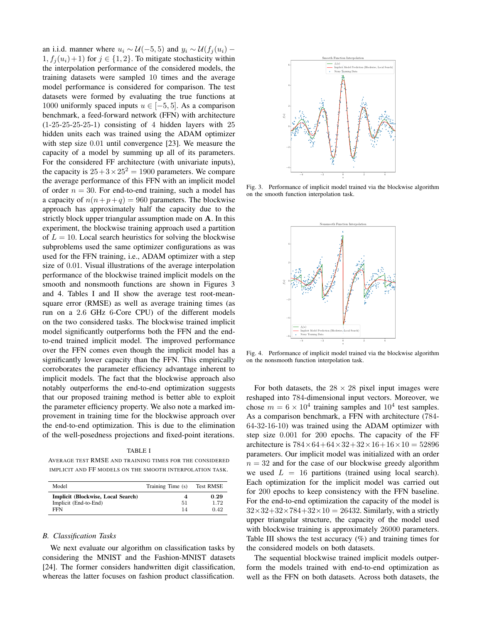an i.i.d. manner where  $u_i \sim \mathcal{U}(-5, 5)$  and  $y_i \sim \mathcal{U}(f_i(u_i) 1, f_i(u_i)+1$  for  $j \in \{1,2\}$ . To mitigate stochasticity within the interpolation performance of the considered models, the training datasets were sampled 10 times and the average model performance is considered for comparison. The test datasets were formed by evaluating the true functions at 1000 uniformly spaced inputs  $u \in [-5, 5]$ . As a comparison benchmark, a feed-forward network (FFN) with architecture  $(1-25-25-25-25-1)$  consisting of 4 hidden layers with 25 hidden units each was trained using the ADAM optimizer with step size 0.01 until convergence [\[23\]](#page-7-22). We measure the capacity of a model by summing up all of its parameters. For the considered FF architecture (with univariate inputs), the capacity is  $25 + 3 \times 25^2 = 1900$  parameters. We compare the average performance of this FFN with an implicit model of order  $n = 30$ . For end-to-end training, such a model has a capacity of  $n(n+p+q) = 960$  parameters. The blockwise approach has approximately half the capacity due to the strictly block upper triangular assumption made on A. In this experiment, the blockwise training approach used a partition of  $L = 10$ . Local search heuristics for solving the blockwise subproblems used the same optimizer configurations as was used for the FFN training, i.e., ADAM optimizer with a step size of 0.01. Visual illustrations of the average interpolation performance of the blockwise trained implicit models on the smooth and nonsmooth functions are shown in Figures [3](#page-6-0) and [4.](#page-6-1) Tables [I](#page-6-2) and [II](#page-7-23) show the average test root-meansquare error (RMSE) as well as average training times (as run on a 2.6 GHz 6-Core CPU) of the different models on the two considered tasks. The blockwise trained implicit model significantly outperforms both the FFN and the endto-end trained implicit model. The improved performance over the FFN comes even though the implicit model has a significantly lower capacity than the FFN. This empirically corroborates the parameter efficiency advantage inherent to implicit models. The fact that the blockwise approach also notably outperforms the end-to-end optimization suggests that our proposed training method is better able to exploit the parameter efficiency property. We also note a marked improvement in training time for the blockwise approach over the end-to-end optimization. This is due to the elimination of the well-posedness projections and fixed-point iterations.

TABLE I

<span id="page-6-2"></span>AVERAGE TEST RMSE AND TRAINING TIMES FOR THE CONSIDERED IMPLICIT AND FF MODELS ON THE SMOOTH INTERPOLATION TASK.

| Model                                                              | Training Time (s) | <b>Test RMSE</b>     |
|--------------------------------------------------------------------|-------------------|----------------------|
| Implicit (Blockwise, Local Search)<br>Implicit (End-to-End)<br>FFN | 51<br>14          | 0.29<br>1.72<br>0.42 |

# *B. Classification Tasks*

We next evaluate our algorithm on classification tasks by considering the MNIST and the Fashion-MNIST datasets [\[24\]](#page-7-24). The former considers handwritten digit classification, whereas the latter focuses on fashion product classification.

<span id="page-6-0"></span>

<span id="page-6-1"></span>Fig. 3. Performance of implicit model trained via the blockwise algorithm on the smooth function interpolation task.



Fig. 4. Performance of implicit model trained via the blockwise algorithm on the nonsmooth function interpolation task.

For both datasets, the  $28 \times 28$  pixel input images were reshaped into 784-dimensional input vectors. Moreover, we chose  $m = 6 \times 10^4$  training samples and  $10^4$  test samples. As a comparison benchmark, a FFN with architecture (784- 64-32-16-10) was trained using the ADAM optimizer with step size 0.001 for 200 epochs. The capacity of the FF architecture is  $784 \times 64 + 64 \times 32 + 32 \times 16 + 16 \times 10 = 52896$ parameters. Our implicit model was initialized with an order  $n = 32$  and for the case of our blockwise greedy algorithm we used  $L = 16$  partitions (trained using local search). Each optimization for the implicit model was carried out for 200 epochs to keep consistency with the FFN baseline. For the end-to-end optimization the capacity of the model is  $32\times32+32\times784+32\times10=26432$ . Similarly, with a strictly upper triangular structure, the capacity of the model used with blockwise training is approximately 26000 parameters. Table [III](#page-7-25) shows the test accuracy (%) and training times for the considered models on both datasets.

The sequential blockwise trained implicit models outperform the models trained with end-to-end optimization as well as the FFN on both datasets. Across both datasets, the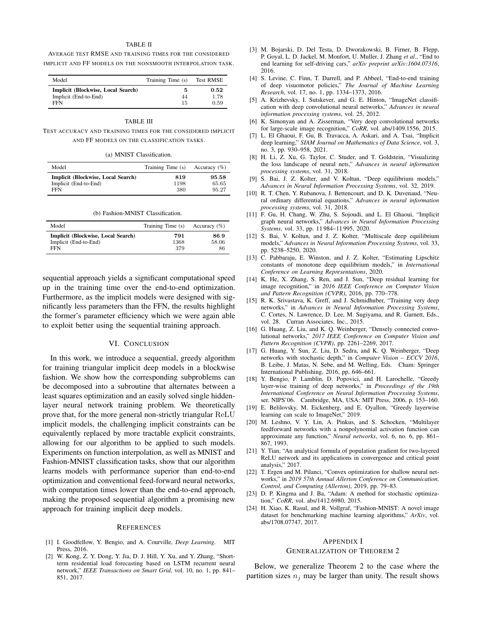## TABLE II

<span id="page-7-23"></span>AVERAGE TEST RMSE AND TRAINING TIMES FOR THE CONSIDERED IMPLICIT AND FF MODELS ON THE NONSMOOTH INTERPOLATION TASK.

| Model                                                              | Training Time (s) | <b>Test RMSE</b>     |
|--------------------------------------------------------------------|-------------------|----------------------|
| Implicit (Blockwise, Local Search)<br>Implicit (End-to-End)<br>FFN | 44<br>15          | 0.52<br>1.78<br>0.59 |

#### TABLE III

#### TEST ACCURACY AND TRAINING TIMES FOR THE CONSIDERED IMPLICIT AND FF MODELS ON THE CLASSIFICATION TASKS.

| (a) MNIST Classification. |  |
|---------------------------|--|
|---------------------------|--|

| Model                              | Training Time (s) | Accuracy $(\%)$ |
|------------------------------------|-------------------|-----------------|
| Implicit (Blockwise, Local Search) | 819               | 95.58           |
| Implicit (End-to-End)              | 1198              | 65.65           |
| <b>FFN</b>                         | 380               | 95.27           |

| (b) Fashion-MNIST Classification. |  |
|-----------------------------------|--|
|-----------------------------------|--|

<span id="page-7-25"></span>

| Model                              | Training Time (s) | Accuracy $(\%)$ |
|------------------------------------|-------------------|-----------------|
| Implicit (Blockwise, Local Search) | 791               | 86.9            |
| Implicit (End-to-End)              | 1368              | 58.06           |
| FFN                                | 379               | 86              |

sequential approach yields a significant computational speed up in the training time over the end-to-end optimization. Furthermore, as the implicit models were designed with significantly less parameters than the FFN, the results highlight the former's parameter efficiency which we were again able to exploit better using the sequential training approach.

## VI. CONCLUSION

In this work, we introduce a sequential, greedy algorithm for training triangular implicit deep models in a blockwise fashion. We show how the corresponding subproblems can be decomposed into a subroutine that alternates between a least squares optimization and an easily solved single hiddenlayer neural network training problem. We theoretically prove that, for the more general non-strictly triangular ReLU implicit models, the challenging implicit constraints can be equivalently replaced by more tractable explicit constraints, allowing for our algorithm to be applied to such models. Experiments on function interpolation, as well as MNIST and Fashion-MNIST classification tasks, show that our algorithm learns models with performance superior than end-to-end optimization and conventional feed-forward neural networks, with computation times lower than the end-to-end approach, making the proposed sequential algorithm a promising new approach for training implicit deep models.

#### **REFERENCES**

- <span id="page-7-0"></span>[1] I. Goodfellow, Y. Bengio, and A. Courville, *Deep Learning*. MIT Press, 2016.
- <span id="page-7-1"></span>[2] W. Kong, Z. Y. Dong, Y. Jia, D. J. Hill, Y. Xu, and Y. Zhang, "Shortterm residential load forecasting based on LSTM recurrent neural network," *IEEE Transactions on Smart Grid*, vol. 10, no. 1, pp. 841– 851, 2017.
- [3] M. Bojarski, D. Del Testa, D. Dworakowski, B. Firner, B. Flepp, P. Goyal, L. D. Jackel, M. Monfort, U. Muller, J. Zhang *et al.*, "End to end learning for self-driving cars," *arXiv preprint arXiv:1604.07316*, 2016.
- <span id="page-7-2"></span>[4] S. Levine, C. Finn, T. Darrell, and P. Abbeel, "End-to-end training of deep visuomotor policies," *The Journal of Machine Learning Research*, vol. 17, no. 1, pp. 1334–1373, 2016.
- <span id="page-7-3"></span>[5] A. Krizhevsky, I. Sutskever, and G. E. Hinton, "ImageNet classification with deep convolutional neural networks," *Advances in neural information processing systems*, vol. 25, 2012.
- <span id="page-7-4"></span>[6] K. Simonyan and A. Zisserman, "Very deep convolutional networks for large-scale image recognition," *CoRR*, vol. abs/1409.1556, 2015.
- <span id="page-7-5"></span>[7] L. El Ghaoui, F. Gu, B. Travacca, A. Askari, and A. Tsai, "Implicit deep learning," *SIAM Journal on Mathematics of Data Science*, vol. 3, no. 3, pp. 930–958, 2021.
- <span id="page-7-6"></span>[8] H. Li, Z. Xu, G. Taylor, C. Studer, and T. Goldstein, "Visualizing the loss landscape of neural nets," *Advances in neural information processing systems*, vol. 31, 2018.
- <span id="page-7-7"></span>[9] S. Bai, J. Z. Kolter, and V. Koltun, "Deep equilibrium models," *Advances in Neural Information Processing Systems*, vol. 32, 2019.
- <span id="page-7-8"></span>[10] R. T. Chen, Y. Rubanova, J. Bettencourt, and D. K. Duvenaud, "Neural ordinary differential equations," *Advances in neural information processing systems*, vol. 31, 2018.
- <span id="page-7-9"></span>[11] F. Gu, H. Chang, W. Zhu, S. Sojoudi, and L. El Ghaoui, "Implicit graph neural networks," *Advances in Neural Information Processing Systems*, vol. 33, pp. 11 984–11 995, 2020.
- <span id="page-7-10"></span>[12] S. Bai, V. Koltun, and J. Z. Kolter, "Multiscale deep equilibrium models," *Advances in Neural Information Processing Systems*, vol. 33, pp. 5238–5250, 2020.
- <span id="page-7-11"></span>[13] C. Pabbaraju, E. Winston, and J. Z. Kolter, "Estimating Lipschitz constants of monotone deep equilibrium models," in *International Conference on Learning Representations*, 2020.
- <span id="page-7-12"></span>[14] K. He, X. Zhang, S. Ren, and J. Sun, "Deep residual learning for image recognition," in *2016 IEEE Conference on Computer Vision and Pattern Recognition (CVPR)*, 2016, pp. 770–778.
- <span id="page-7-14"></span>[15] R. K. Srivastava, K. Greff, and J. Schmidhuber, "Training very deep networks," in *Advances in Neural Information Processing Systems*, C. Cortes, N. Lawrence, D. Lee, M. Sugiyama, and R. Garnett, Eds., vol. 28. Curran Associates, Inc., 2015.
- <span id="page-7-13"></span>[16] G. Huang, Z. Liu, and K. Q. Weinberger, "Densely connected convolutional networks," *2017 IEEE Conference on Computer Vision and Pattern Recognition (CVPR)*, pp. 2261–2269, 2017.
- <span id="page-7-15"></span>[17] G. Huang, Y. Sun, Z. Liu, D. Sedra, and K. Q. Weinberger, "Deep networks with stochastic depth," in *Computer Vision – ECCV 2016*, B. Leibe, J. Matas, N. Sebe, and M. Welling, Eds. Cham: Springer International Publishing, 2016, pp. 646–661.
- <span id="page-7-16"></span>[18] Y. Bengio, P. Lamblin, D. Popovici, and H. Larochelle, "Greedy layer-wise training of deep networks," in *Proceedings of the 19th International Conference on Neural Information Processing Systems*, ser. NIPS'06. Cambridge, MA, USA: MIT Press, 2006, p. 153–160.
- <span id="page-7-17"></span>[19] E. Belilovsky, M. Eickenberg, and E. Oyallon, "Greedy layerwise learning can scale to ImageNet," 2019.
- <span id="page-7-18"></span>[20] M. Leshno, V. Y. Lin, A. Pinkus, and S. Schocken, "Multilayer feedforward networks with a nonpolynomial activation function can approximate any function," *Neural networks*, vol. 6, no. 6, pp. 861– 867, 1993.
- <span id="page-7-19"></span>[21] Y. Tian, "An analytical formula of population gradient for two-layered ReLU network and its applications in convergence and critical point analysis," 2017.
- <span id="page-7-20"></span>[22] T. Ergen and M. Pilanci, "Convex optimization for shallow neural networks," in *2019 57th Annual Allerton Conference on Communication, Control, and Computing (Allerton)*, 2019, pp. 79–83.
- <span id="page-7-22"></span>[23] D. P. Kingma and J. Ba, "Adam: A method for stochastic optimization," *CoRR*, vol. abs/1412.6980, 2015.
- <span id="page-7-24"></span>[24] H. Xiao, K. Rasul, and R. Vollgraf, "Fashion-MNIST: A novel image dataset for benchmarking machine learning algorithms," *ArXiv*, vol. abs/1708.07747, 2017.

#### <span id="page-7-21"></span>APPENDIX I

# GENERALIZATION OF THEOREM [2](#page-5-2)

Below, we generalize Theorem [2](#page-5-2) to the case where the partition sizes  $n_i$  may be larger than unity. The result shows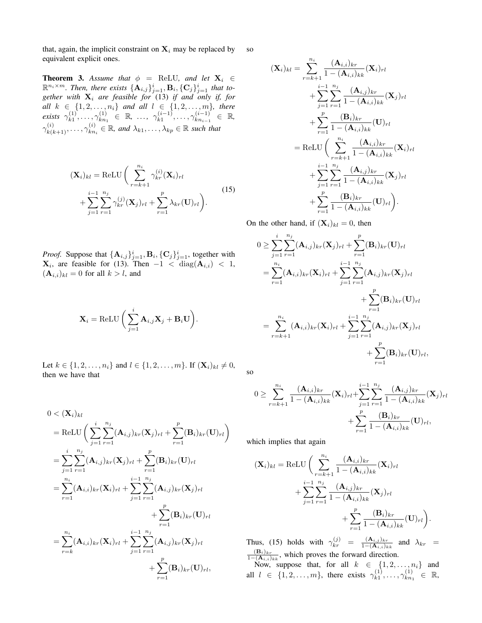that, again, the implicit constraint on  $X_i$  may be replaced by equivalent explicit ones. so

**Theorem 3.** Assume that  $\phi$  = ReLU, and let  $X_i \in$  $\mathbb{R}^{n_i \times m}$ . Then, there exists  $\{\mathbf{A}_{i,j}\}_{j=1}^i, \mathbf{B}_i, \{\mathbf{C}_j\}_{j=1}^i$  that to*gether with* X<sup>i</sup> *are feasible for* [\(13\)](#page-4-3) *if and only if, for all*  $k \in \{1, 2, ..., n_i\}$  *and all*  $l \in \{1, 2, ..., m\}$ , there *exists*  $\gamma_{k1}^{(1)}$  $\frac{\gamma^{(1)}}{k1},\ldots,\gamma^{(1)}_{kn}$  $\begin{array}{rcl} (1) \ k n_1 \end{array} \in \mathbb{R}, \ldots, \gamma_{k1}^{(i-1)}$  $\chi_{k1}^{(i-1)}, \ldots, \gamma_{k n_{i-1}}^{(i-1)}$  $\frac{(i-1)}{kn_{i-1}}$  ∈ ℝ,  $\gamma_{k(k+1)}^{(i)},\ldots,\gamma_{kn}^{(i)}$  $\mathbf{R}_{kn_i}^{(i)} \in \mathbb{R}$ , and  $\lambda_{k1}, \ldots, \lambda_{kp} \in \mathbb{R}$  such that

<span id="page-8-0"></span>
$$
(\mathbf{X}_i)_{kl} = \text{ReLU}\bigg(\sum_{r=k+1}^{n_i} \gamma_{kr}^{(i)}(\mathbf{X}_i)_{rl} + \sum_{j=1}^{i-1} \sum_{r=1}^{n_j} \gamma_{kr}^{(j)}(\mathbf{X}_j)_{rl} + \sum_{r=1}^p \lambda_{kr}(\mathbf{U})_{rl}\bigg).
$$
 (15)

*Proof.* Suppose that  $\{\mathbf{A}_{i,j}\}_{j=1}^i$ ,  $\mathbf{B}_i$ ,  $\{\mathbf{C}_j\}_{j=1}^i$ , together with  $\mathbf{X}_i$ , are feasible for [\(13\)](#page-4-3). Then  $-1 < \text{diag}(\mathbf{A}_{i,i}) < 1$ ,  $({\bf A}_{i,i})_{kl} = 0$  for all  $k > l$ , and

$$
\mathbf{X}_{i} = \text{ReLU}\bigg(\sum_{j=1}^{i} \mathbf{A}_{i,j}\mathbf{X}_{j} + \mathbf{B}_{i}\mathbf{U}\bigg).
$$

Let  $k \in \{1, 2, ..., n_i\}$  and  $l \in \{1, 2, ..., m\}$ . If  $(\mathbf{X}_i)_{kl} \neq 0$ , then we have that

$$
0 < (\mathbf{X}_{i})_{kl}
$$
\n
$$
= \text{ReLU}\bigg(\sum_{j=1}^{i} \sum_{r=1}^{n_{j}} (\mathbf{A}_{i,j})_{kr} (\mathbf{X}_{j})_{rl} + \sum_{r=1}^{p} (\mathbf{B}_{i})_{kr} (\mathbf{U})_{rl}\bigg)
$$
\n
$$
= \sum_{j=1}^{i} \sum_{r=1}^{n_{j}} (\mathbf{A}_{i,j})_{kr} (\mathbf{X}_{j})_{rl} + \sum_{r=1}^{p} (\mathbf{B}_{i})_{kr} (\mathbf{U})_{rl}
$$
\n
$$
= \sum_{r=1}^{n_{i}} (\mathbf{A}_{i,i})_{kr} (\mathbf{X}_{i})_{rl} + \sum_{j=1}^{i-1} \sum_{r=1}^{n_{j}} (\mathbf{A}_{i,j})_{kr} (\mathbf{X}_{j})_{rl}
$$
\n
$$
+ \sum_{r=1}^{p} (\mathbf{B}_{i})_{kr} (\mathbf{U})_{rl}
$$
\n
$$
= \sum_{r=k}^{n_{i}} (\mathbf{A}_{i,i})_{kr} (\mathbf{X}_{i})_{rl} + \sum_{j=1}^{i-1} \sum_{r=1}^{n_{j}} (\mathbf{A}_{i,j})_{kr} (\mathbf{X}_{j})_{rl}
$$
\n
$$
+ \sum_{r=1}^{p} (\mathbf{B}_{i})_{kr} (\mathbf{U})_{rl},
$$

$$
(\mathbf{X}_{i})_{kl} = \sum_{r=k+1}^{n_{i}} \frac{(\mathbf{A}_{i,i})_{kr}}{1 - (\mathbf{A}_{i,i})_{kk}} (\mathbf{X}_{i})_{rl}
$$
  
+ 
$$
\sum_{j=1}^{i-1} \sum_{r=1}^{n_{j}} \frac{(\mathbf{A}_{i,j})_{kr}}{1 - (\mathbf{A}_{i,i})_{kk}} (\mathbf{X}_{j})_{rl}
$$
  
+ 
$$
\sum_{r=1}^{p} \frac{(\mathbf{B}_{i})_{kr}}{1 - (\mathbf{A}_{i,i})_{kk}} (\mathbf{U})_{rl}
$$
  
= ReLU  $\Big( \sum_{r=k+1}^{n_{i}} \frac{(\mathbf{A}_{i,i})_{kr}}{1 - (\mathbf{A}_{i,i})_{kk}} (\mathbf{X}_{i})_{rl}$   
+ 
$$
\sum_{j=1}^{i-1} \sum_{r=1}^{n_{j}} \frac{(\mathbf{A}_{i,j})_{kr}}{1 - (\mathbf{A}_{i,i})_{kk}} (\mathbf{X}_{j})_{rl}
$$
  
+ 
$$
\sum_{r=1}^{p} \frac{(\mathbf{B}_{i})_{kr}}{1 - (\mathbf{A}_{i,i})_{kk}} (\mathbf{U})_{rl} \Big).
$$

On the other hand, if  $(X_i)_{kl} = 0$ , then

$$
0 \geq \sum_{j=1}^{i} \sum_{r=1}^{n_j} (\mathbf{A}_{i,j})_{kr} (\mathbf{X}_j)_{rl} + \sum_{r=1}^{p} (\mathbf{B}_i)_{kr} (\mathbf{U})_{rl}
$$
  
\n
$$
= \sum_{r=1}^{n_i} (\mathbf{A}_{i,i})_{kr} (\mathbf{X}_i)_{rl} + \sum_{j=1}^{i-1} \sum_{r=1}^{n_j} (\mathbf{A}_{i,j})_{kr} (\mathbf{X}_j)_{rl}
$$
  
\n
$$
+ \sum_{r=1}^{p} (\mathbf{B}_i)_{kr} (\mathbf{U})_{rl}
$$
  
\n
$$
= \sum_{r=k+1}^{n_i} (\mathbf{A}_{i,i})_{kr} (\mathbf{X}_i)_{rl} + \sum_{j=1}^{i-1} \sum_{r=1}^{n_j} (\mathbf{A}_{i,j})_{kr} (\mathbf{X}_j)_{rl}
$$
  
\n
$$
+ \sum_{r=1}^{p} (\mathbf{B}_i)_{kr} (\mathbf{U})_{rl},
$$

so

$$
0 \geq \sum_{r=k+1}^{n_i} \frac{(\mathbf{A}_{i,i})_{kr}}{1 - (\mathbf{A}_{i,i})_{kk}} (\mathbf{X}_i)_{rl} + \sum_{j=1}^{i-1} \sum_{r=1}^{n_j} \frac{(\mathbf{A}_{i,j})_{kr}}{1 - (\mathbf{A}_{i,i})_{kk}} (\mathbf{X}_j)_{rl} + \sum_{r=1}^p \frac{(\mathbf{B}_i)_{kr}}{1 - (\mathbf{A}_{i,i})_{kk}} (\mathbf{U})_{rl},
$$

which implies that again

$$
(\mathbf{X}_{i})_{kl} = \text{ReLU}\bigg(\sum_{r=k+1}^{n_{i}} \frac{(\mathbf{A}_{i,i})_{kr}}{1 - (\mathbf{A}_{i,i})_{kk}} (\mathbf{X}_{i})_{rl} + \sum_{j=1}^{i-1} \sum_{r=1}^{n_{j}} \frac{(\mathbf{A}_{i,j})_{kr}}{1 - (\mathbf{A}_{i,i})_{kk}} (\mathbf{X}_{j})_{rl} + \sum_{r=1}^{p} \frac{(\mathbf{B}_{i})_{kr}}{1 - (\mathbf{A}_{i,i})_{kk}} (\mathbf{U})_{rl}\bigg).
$$

Thus, [\(15\)](#page-8-0) holds with  $\gamma_{kr}^{(j)} = \frac{(\mathbf{A}_{i,j})_{kr}}{1-(\mathbf{A}_{i,j})_{kr}}$  $\frac{(\mathbf{A}_{i,j})_{kr}}{1-(\mathbf{A}_{i,i})_{kk}}$  and  $\lambda_{kr}$  =  $(\mathbf{B}_i)_{kr}$  $\frac{(\mathbf{B}_i)_{kr}}{1-(\mathbf{A}_{i,i})_{kk}}$ , which proves the forward direction.

Now, suppose that, for all  $k \in \{1, 2, \ldots, n_i\}$  and all  $l \in \{1, 2, \ldots, m\}$ , there exists  $\gamma_{k1}^{(1)}$  $\hat{\gamma}_{k1}^{(1)},\ldots,\gamma_{kn}^{(1)}$  $\begin{array}{ll} (1) \ k n_1 \end{array} \in \mathbb{R},$